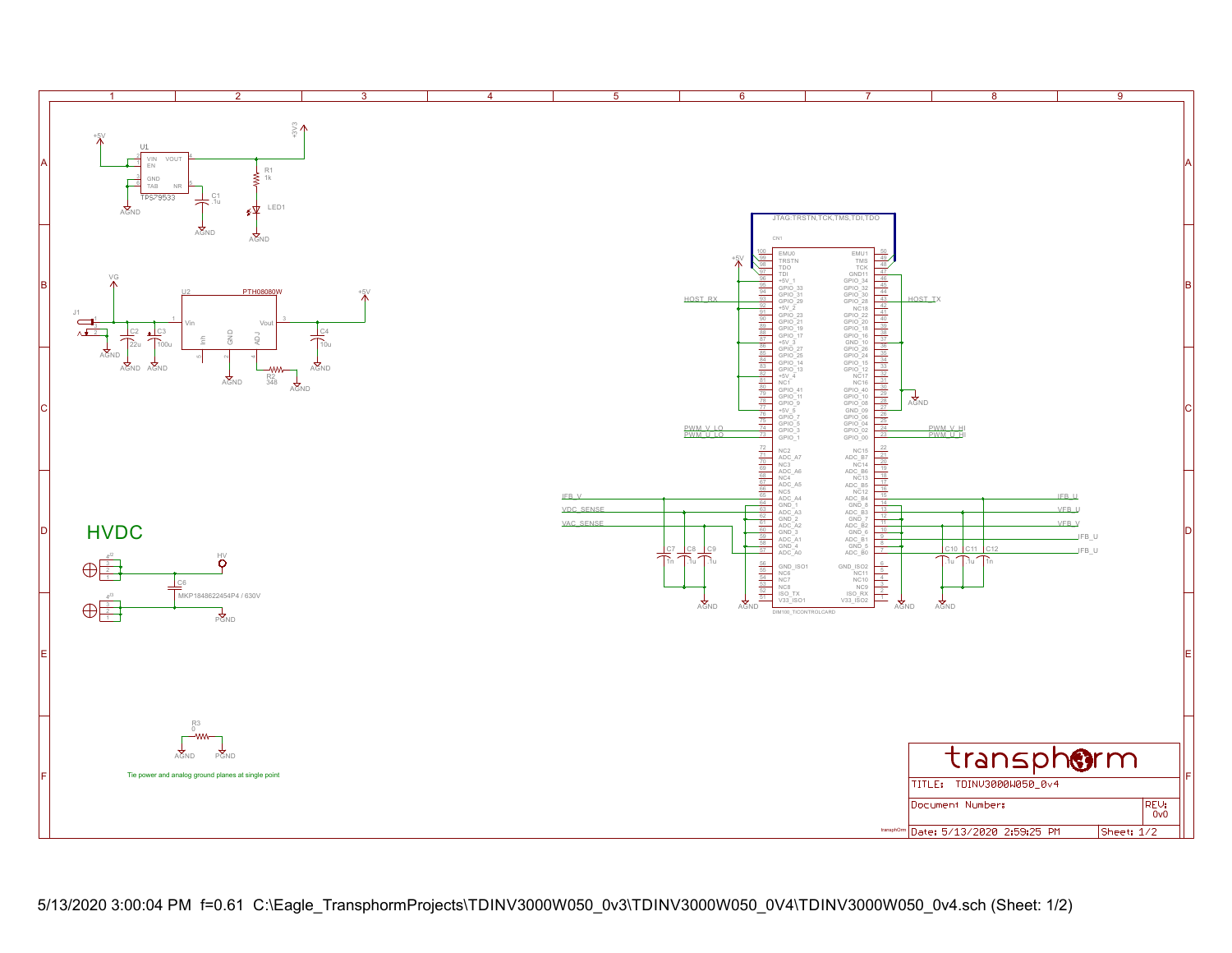